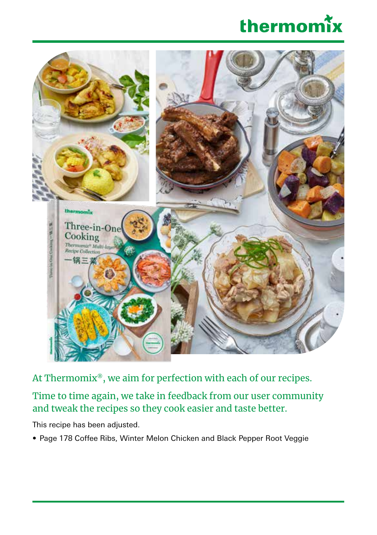



At Thermomix®, we aim for perfection with each of our recipes.

Time to time again, we take in feedback from our user community and tweak the recipes so they cook easier and taste better.

This recipe has been adjusted.

• Page 178 Coffee Ribs, Winter Melon Chicken and Black Pepper Root Veggie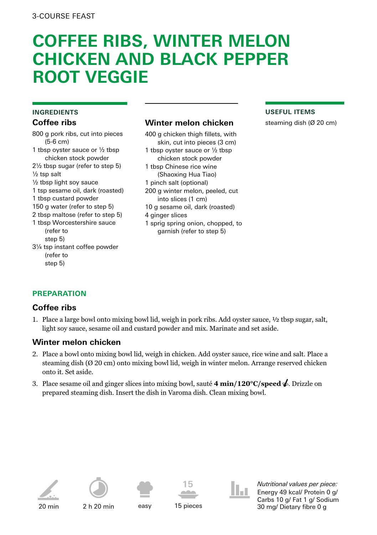# **COFFEE RIBS, WINTER MELON CHICKEN AND BLACK PEPPER ROOT VEGGIE**

#### **INGREDIENTS Coffee ribs**

800 g pork ribs, cut into pieces (5-6 cm) 1 tbsp oyster sauce or ½ tbsp chicken stock powder 2½ tbsp sugar (refer to step 5) ½ tsp salt ½ tbsp light soy sauce 1 tsp sesame oil, dark (roasted) 1 tbsp custard powder 150 g water (refer to step 5) 2 tbsp maltose (refer to step 5) 1 tbsp Worcestershire sauce  $Ina$ for to step 5) 3¼ tsp instant coffee powder (refer to

## **Winter melon chicken**

400 g chicken thigh fillets, with skin, cut into pieces (3 cm) 1 tbsp oyster sauce or ½ tbsp chicken stock powder 1 tbsp Chinese rice wine (Shaoxing Hua Tiao) 1 pinch salt (optional) 200 g winter melon, peeled, cut into slices (1 cm) 10 g sesame oil, dark (roasted) 4 ginger slices 1 sprig spring onion, chopped, to garnish (refer to step 5)

#### **USEFUL ITEMS**

steaming dish (Ø 20 cm)

# **PREPARATION**

# **Coffee ribs**

step 5)

1. Place a large bowl onto mixing bowl lid, weigh in pork ribs. Add oyster sauce, ½ tbsp sugar, salt, light soy sauce, sesame oil and custard powder and mix. Marinate and set aside.

# **Winter melon chicken**

- 2. Place a bowl onto mixing bowl lid, weigh in chicken. Add oyster sauce, rice wine and salt. Place a steaming dish (Ø 20 cm) onto mixing bowl lid, weigh in winter melon. Arrange reserved chicken onto it. Set aside.
- 3. Place sesame oil and ginger slices into mixing bowl, sauté **4 min/120°C/speed** . Drizzle on prepared steaming dish. Insert the dish in Varoma dish. Clean mixing bowl.







2 h 20 min easy 15 pieces



*Nutritional values per piece:* Energy 49 kcal/ Protein 0 g/ Carbs 10 g/ Fat 1 g/ Sodium 30 mg/ Dietary fibre 0 g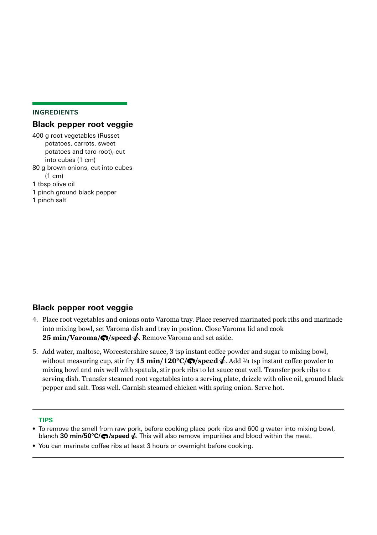#### **INGREDIENTS**

### **Black pepper root veggie**

400 g root vegetables (Russet potatoes, carrots, sweet potatoes and taro root), cut into cubes (1 cm) 80 g brown onions, cut into cubes (1 cm) 1 tbsp olive oil 1 pinch ground black pepper 1 pinch salt

# **Black pepper root veggie**

- 4. Place root vegetables and onions onto Varoma tray. Place reserved marinated pork ribs and marinade into mixing bowl, set Varoma dish and tray in postion. Close Varoma lid and cook **25 min/Varoma/** $\bigcirc$ **/speed**  $\bigcirc$ **. Remove Varoma and set aside.**
- 5. Add water, maltose, Worcestershire sauce, 3 tsp instant coffee powder and sugar to mixing bowl, without measuring cup, stir fry **15 min/120<sup>o</sup>C/** $\bigcirc$ **/speed**  $\bigcirc$ . Add  $\frac{1}{4}$  tsp instant coffee powder to mixing bowl and mix well with spatula, stir pork ribs to let sauce coat well. Transfer pork ribs to a serving dish. Transfer steamed root vegetables into a serving plate, drizzle with olive oil, ground black pepper and salt. Toss well. Garnish steamed chicken with spring onion. Serve hot.

### **TIPS**

- To remove the smell from raw pork, before cooking place pork ribs and 600 g water into mixing bowl, blanch **30 min/50°C/ /speed** . This will also remove impurities and blood within the meat.
- You can marinate coffee ribs at least 3 hours or overnight before cooking.